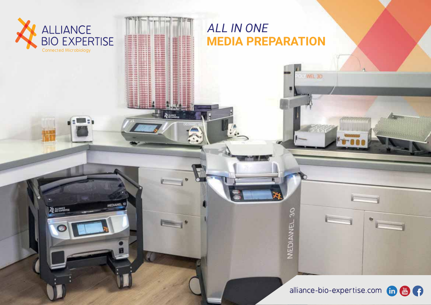

**BE ALLINOIS** 

MEDIAWEL 10

## **ALL IN ONE MEDIA PREPARATION**

WEL 3D

MEDIANNEL 30

alliance-bio-expertise.com in **the contract of the contract of the contract of the contract of the contract of the contract of the contract of the contract of the contract of the contract of the contract of the contract of** 

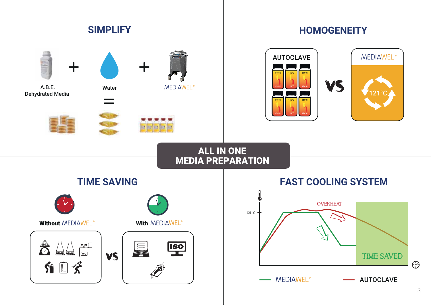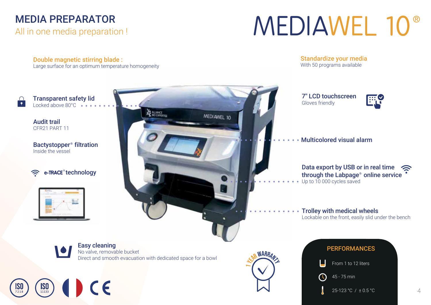# **MEDIA PREPARATOR**

All in one media preparation!

# **MEDIAWEL 10<sup>®</sup>**

Double magnetic stirring blade:

Large surface for an optimum temperature homogeneity

**Standardize your media** With 50 programs available

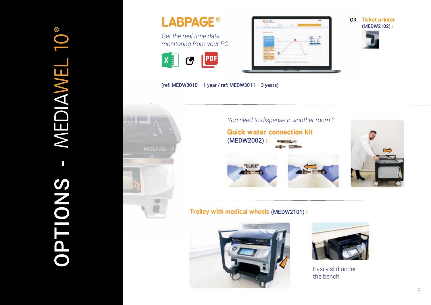



**OR** Ticket printer (MEDW2102):



 $(ref: MEDW3010 - 1 year / ref: MEDW3011 - 3 years)$ 



**Trolley with medical wheels (MEDW2101):** 





Easily slid under the bench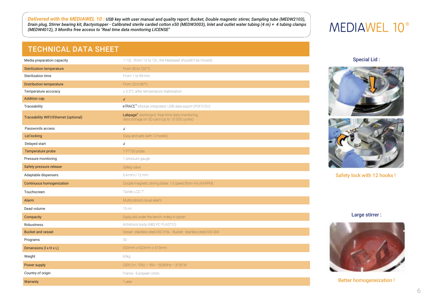Delivered with the MEDIAWEL 10: USB key with user manual and quality report, Bucket, Double magnetic stirrer, Sampling tube (MEDW2103), Drain plug, Stirrer bearing kit, Bactystopper - Calibrated sterile carded cotton x50 (MEDW3003), Inlet and outlet water tubing (4 m) + 4 tubing clamps (MEDW4012), 3 Months free access to "Real time data monitoring LICENSE"

## **MEDIAWEL 10<sup>®</sup>**

## **TECHNICAL DATA SHEET**

| Media preparation capacity            | 1-12L (from 10 to 12L, the Mediawel shouldn't be moved)                                         |
|---------------------------------------|-------------------------------------------------------------------------------------------------|
| <b>Sterilization temperature</b>      | From 30 to 123 °C                                                                               |
| Sterilization time                    | From 1 to 99 min                                                                                |
| <b>Distribution temperature</b>       | From 25 to 80°C                                                                                 |
| Temperature accuracy                  | ± 0.5°C after temperature stabilization                                                         |
| <b>Addition cap</b>                   | $\checkmark$                                                                                    |
| Traceability                          | eTRACE® Module integrated, USB data export (PDF/CSV)                                            |
| Traceability WIFI/Ethernet (optional) | Labpage, dashboard. Real time data monitoring,<br>data storage on SD card (up to 10 000 cycles) |
| Passwords access                      | $\checkmark$                                                                                    |
| <b>Lid locking</b>                    | Easy and safe (with 12 hooks)                                                                   |
| Delayed start                         | $\checkmark$                                                                                    |
| Temperature probe                     | 1 PT100 probe                                                                                   |
| Pressure monitoring                   | 1 pressure gauge                                                                                |
| Safety pressure release               | Safety valve                                                                                    |
| Adaptable dispensers                  | 6.4 mm / 12 mm                                                                                  |
| Continuous homogenization             | Double magnetic stirring blade, 1-5 speed (from 4 to 64 RPM)                                    |
| Touchscreen                           | Tactile, LCD 7"                                                                                 |
| Alarm                                 | Multicolored visual alarm                                                                       |
| Dead volume                           | 15 <sub>ml</sub>                                                                                |
| Compacity                             | Easily slid under the bench, trolley in option                                                  |
| Robustness                            | Antishock body (ABS PC PLASTIC)                                                                 |
| <b>Bucket and vessel</b>              | Vessel : stainless steel AISI 316L - Bucket : stainless steel AISI 304                          |
| Programs                              | 50                                                                                              |
| Dimensions (I x H x L)                | 500mm x 620mm x 515mm                                                                           |
| Weight                                | 63kg                                                                                            |
| Power supply                          | $230V$ (+/-10%) - 16A - 50/60Hz - 3150 W                                                        |
| Country of origin                     | France - European Union                                                                         |
| <b>Marranty</b>                       | 1 <sub>1</sub>                                                                                  |

**Special Lid:** 





Safety lock with 12 hooks!

Large stirrer:



**Better homogeneization!**